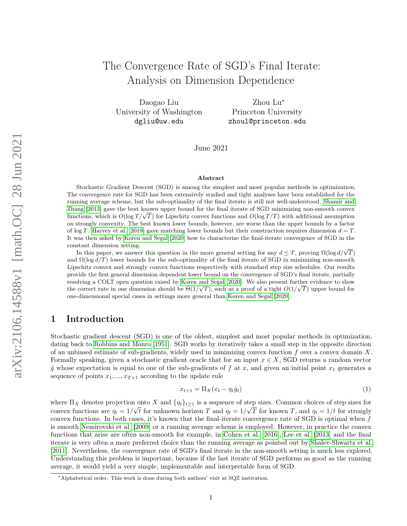# The Convergence Rate of SGD's Final Iterate: Analysis on Dimension Dependence

Daogao Liu University of Washington dgliu@uw.edu

Zhou Lu<sup>∗</sup> Princeton University zhoul@princeton.edu

June 2021

#### Abstract

Stochastic Gradient Descent (SGD) is among the simplest and most popular methods in optimization. The convergence rate for SGD has been extensively studied and tight analyses have been established for the running average scheme, but the sub-optimality of the final iterate is still not well-understood. [Shamir and](#page-16-0) [Zhang](#page-16-0) [\[2013\]](#page-16-0) gave the best known upper bound for the final iterate of SGD minimizing non-smooth convex znang [2013] gave the best known upper bound for the final iterate of SGD minimizing non-smooth convex functions, which is  $O(\log T/\sqrt{T})$  for Lipschitz convex functions and  $O(\log T/T)$  with additional assumption on strongly convexity. The best known lower bounds, however, are worse than the upper bounds by a factor of log T. [Harvey et al.](#page-15-0) [\[2019\]](#page-15-0) gave matching lower bounds but their construction requires dimension  $d = T$ . It was then asked by [Koren and Segal](#page-15-1) [\[2020\]](#page-15-1) how to characterize the final-iterate convergence of SGD in the constant dimension setting.

stant dimension setting.<br>In this paper, we answer this question in the more general setting for any  $d \leq T$ , proving  $\Omega(\log d/\sqrt{T})$ and  $\Omega(\log d/T)$  lower bounds for the sub-optimality of the final iterate of SGD in minimizing non-smooth Lipschitz convex and strongly convex functions respectively with standard step size schedules. Our results provide the first general dimension dependent lower bound on the convergence of SGD's final iterate, partially resolving a COLT open question raised by [Koren and Segal](#page-15-1) [\[2020\]](#page-15-1). We also present further evidence to show the correct rate in one dimension should be  $\Theta(1/\sqrt{T})$ , such as a proof of a tight  $O(1/\sqrt{T})$  upper bound for one-dimensional special cases in settings more general than [Koren and Segal](#page-15-1) [\[2020\]](#page-15-1).

## 1 Introduction

Stochastic gradient descent (SGD) is one of the oldest, simplest and most popular methods in optimization, dating back to [Robbins and Monro](#page-15-2) [\[1951\]](#page-15-2). SGD works by iteratively takes a small step in the opposite direction of an unbiased estimate of sub-gradients, widely used in minimizing convex function f over a convex domain X. Formally speaking, given a stochastic gradient oracle that for an input  $x \in X$ , SGD returns a random vector  $\hat{g}$  whose expectation is equal to one of the sub-gradients of f at x, and given an initial point  $x_1$  generates a sequence of points  $x_1, ..., x_{T+1}$  according to the update rule

$$
x_{t+1} = \Pi_X(x_t - \eta_t \hat{g}_t) \tag{1}
$$

where  $\Pi_X$  denotes projection onto X and  $\{\eta_t\}_{t\geq 1}$  is a sequence of step sizes. Common choices of step sizes for convex functions are  $\eta_t = 1/\sqrt{t}$  for unknown horizon T and  $\eta_t = 1/\sqrt{T}$  for known T, and  $\eta_t = 1/t$  for strongly convex functions. In both cases, it's known that the final-iterate convergence rate of SGD is optimal when f is smooth [Nemirovski et al.](#page-15-3) [\[2009\]](#page-15-3) or a running average scheme is employed. However, in practice the convex functions that arise are often non-smooth for example, in [Cohen et al.](#page-15-4) [\[2016\]](#page-15-4), [Lee et al.](#page-15-5) [\[2013\]](#page-15-5) and the final iterate is very often a more preferred choice than the running average as pointed out by [Shalev-Shwartz et al.](#page-16-1) [\[2011\]](#page-16-1). Nevertheless, the convergence rate of SGD's final iterate in the non-smooth setting is much less explored. Understanding this problem is important, because if the last iterate of SGD performs as good as the running average, it would yield a very simple, implementable and interpretable form of SGD.

<sup>∗</sup>Alphabetical order. This work is done during both authors' visit at SQZ institution.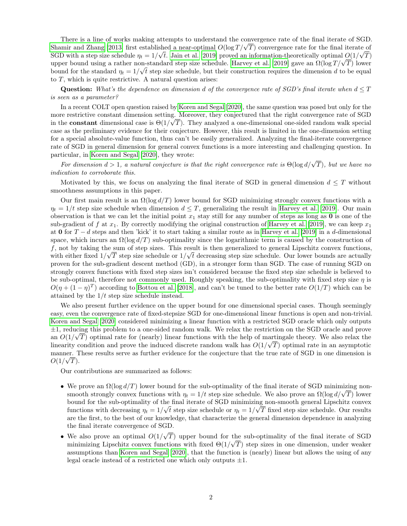There is a line of works making attempts to understand the convergence rate of the final iterate of SGD. There is a line of works making attempts to understand the convergence rate of the final iterate of SGD<br>[Shamir and Zhang](#page-16-0) [\[2013\]](#page-16-0) first established a near-optimal  $O(\log T/\sqrt{T})$  convergence rate for the final iterate of SGD with a step size schedule  $\eta_t = 1/\sqrt{t}$ . [Jain et al.](#page-15-6) [\[2019\]](#page-15-6) proved an information-theoretically optimal  $O(1/\sqrt{T})$ SGD with a step size schedule  $\eta_t = 1/\sqrt{t}$ . Jain et al. [\[2019\]](#page-15-0) proved an information-theoretically optimal  $O(1/\sqrt{T})$  lower<br>upper bound using a rather non-standard step size schedule. [Harvey et al.](#page-15-0) [2019] gave an  $\Omega(\log T/\sqrt$ bound for the standard  $\eta_t = 1/\sqrt{t}$  step size schedule, but their construction requires the dimension d to be equal to  $T$ , which is quite restrictive. A natural question arises:

**Question:** What's the dependence on dimension d of the convergence rate of SGD's final iterate when  $d \leq T$ is seen as a parameter?

In a recent COLT open question raised by [Koren and Segal](#page-15-1) [\[2020\]](#page-15-1), the same question was posed but only for the more restrictive constant dimension setting. Moreover, they conjectured that the right convergence rate of SGD in the **constant** dimensional case is  $\Theta(1/\sqrt{T})$ . They analyzed a one-dimensional one-sided random walk special case as the preliminary evidence for their conjecture. However, this result is limited in the one-dimension setting for a special absolute-value function, thus can't be easily generalized. Analyzing the final-iterate convergence rate of SGD in general dimension for general convex functions is a more interesting and challenging question. In particular, in [Koren and Segal](#page-15-1) [\[2020\]](#page-15-1), they wrote:

For dimension  $d > 1$ , a natural conjecture is that the right convergence rate is  $\Theta(\log d/\sqrt{T})$ , but we have no indication to corroborate this.

Motivated by this, we focus on analyzing the final iterate of SGD in general dimension  $d \leq T$  without smoothness assumptions in this paper.

Our first main result is an  $\Omega(\log d/T)$  lower bound for SGD minimizing strongly convex functions with a  $\eta_t = 1/t$  step size schedule when dimension  $d \leq T$ , generalizing the result in [Harvey et al.](#page-15-0) [\[2019\]](#page-15-0). Our main observation is that we can let the initial point  $x_1$  stay still for any number of steps as long as 0 is one of the sub-gradient of f at  $x_1$ . By correctly modifying the original construction of [Harvey et al.](#page-15-0) [\[2019\]](#page-15-0), we can keep  $x_1$ at 0 for  $T - d$  steps and then 'kick' it to start taking a similar route as in [Harvey et al.](#page-15-0) [\[2019\]](#page-15-0) in a d-dimensional space, which incurs an  $\Omega(\log d/T)$  sub-optimality since the logarithmic term is caused by the construction of f, not by taking the sum of step sizes. This result is then generalized to general Lipschitz convex functions, with either fixed  $1/\sqrt{T}$  step size schedule or  $1/\sqrt{t}$  decreasing step size schedule. Our lower bounds are actually proven for the sub-gradient descent method (GD), in a stronger form than SGD. The case of running SGD on strongly convex functions with fixed step sizes isn't considered because the fixed step size schedule is believed to be sub-optimal, therefore not commonly used. Roughly speaking, the sub-optimality with fixed step size  $\eta$  is  $O(\eta + (1 - \eta)^T)$  according to [Bottou et al.](#page-15-7) [\[2018\]](#page-15-7), and can't be tuned to the better rate  $O(1/T)$  which can be attained by the  $1/t$  step size schedule instead.

We also present further evidence on the upper bound for one dimensional special cases. Though seemingly easy, even the convergence rate of fixed-stepsize SGD for one-dimensional linear functions is open and non-trivial. [Koren and Segal](#page-15-1) [\[2020\]](#page-15-1) considered minimizing a linear function with a restricted SGD oracle which only outputs ±1, reducing this problem to a one-sided random walk. We relax the restriction on the SGD oracle and prove √ an  $O(1/\sqrt{T})$  optimal rate for (nearly) linear functions with the help of martingale theory. We also relax the linearity condition and prove the induced discrete random walk has  $O(1/\sqrt{T})$  optimal rate in an asymptotic manner. These results serve as further evidence for the conjecture that the true rate of SGD in one dimension is  $O(1/\sqrt{T}).$ 

Our contributions are summarized as follows:

- We prove an  $\Omega(\log d/T)$  lower bound for the sub-optimality of the final iterate of SGD minimizing nonwe prove an  $\Omega(\log d/L)$  lower bound for the sub-optimality of the final iterate of SGD minimizing non-<br>smooth strongly convex functions with  $\eta_t = 1/t$  step size schedule. We also prove an  $\Omega(\log d/\sqrt{T})$  lower bound for the sub-optimality of the final iterate of SGD minimizing non-smooth general Lipschitz convex functions with decreasing  $\eta_t = 1/\sqrt{t}$  step size schedule or  $\eta_t = 1/\sqrt{T}$  fixed step size schedule. Our results are the first, to the best of our knowledge, that characterize the general dimension dependence in analyzing the final iterate convergence of SGD. √
- We also prove an optimal  $O(1)$ T) upper bound for the sub-optimality of the final iterate of SGD minimizing Lipschitz convex functions with fixed  $\Theta(1/\sqrt{T})$  step sizes in one dimension, under weaker assumptions than [Koren and Segal](#page-15-1) [\[2020\]](#page-15-1), that the function is (nearly) linear but allows the using of any legal oracle instead of a restricted one which only outputs  $\pm 1$ .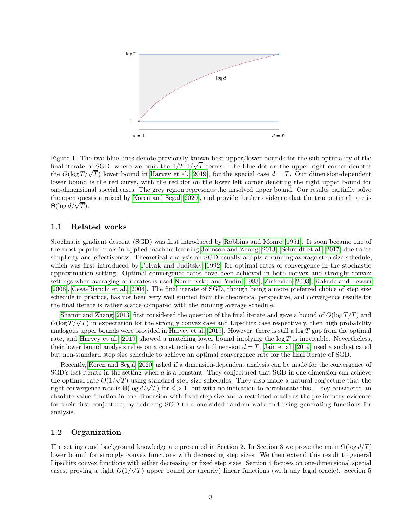

Figure 1: The two blue lines denote previously known best upper/lower bounds for the sub-optimality of the √ final iterate of SGD, where we omit the  $1/T$ ,  $1/\sqrt{T}$  terms. The blue dot on the upper right corner denotes mal iterate of SGD, where we omit the  $1/I$ ,  $1/\sqrt{I}$  terms. The blue dot on the upper right corner denotes the  $O(\log T/\sqrt{T})$  lower bound in [Harvey et al.](#page-15-0) [\[2019\]](#page-15-0), for the special case  $d = T$ . Our dimension-dependent lower bound is the red curve, with the red dot on the lower left corner denoting the tight upper bound for one-dimensional special cases. The grey region represents the unsolved upper bound. Our results partially solve the open question raised by [Koren and Segal](#page-15-1) [\[2020\]](#page-15-1), and provide further evidence that the true optimal rate is tne open ques<br>Θ(log  $d/\sqrt{T}$ ).

### 1.1 Related works

Stochastic gradient descent (SGD) was first introduced by [Robbins and Monro](#page-15-2) [\[1951\]](#page-15-2). It soon became one of the most popular tools in applied machine learning [Johnson and Zhang](#page-15-8) [\[2013\]](#page-15-8), [Schmidt et al.](#page-16-2) [\[2017\]](#page-16-2) due to its simplicity and effectiveness. Theoretical analysis on SGD usually adopts a running average step size schedule, which was first introduced by [Polyak and Juditsky](#page-15-9) [\[1992\]](#page-15-9) for optimal rates of convergence in the stochastic approximation setting. Optimal convergence rates have been achieved in both convex and strongly convex settings when averaging of iterates is used [Nemirovskij and Yudin](#page-15-10) [\[1983\]](#page-15-10), [Zinkevich](#page-16-3) [\[2003\]](#page-16-3), [Kakade and Tewari](#page-15-11) [\[2008\]](#page-15-11), [Cesa-Bianchi et al.](#page-15-12) [\[2004\]](#page-15-12). The final iterate of SGD, though being a more preferred choice of step size schedule in practice, has not been very well studied from the theoretical perspective, and convergence results for the final iterate is rather scarce compared with the running average schedule.

[Shamir and Zhang](#page-16-0) [\[2013\]](#page-16-0) first considered the question of the final iterate and gave a bound of  $O(\log T/T)$  and Shamir and Zhang [2013] first considered the question of the final iterate and gave a bound of  $O(\log T/T)$  and  $O(\log T/\sqrt{T})$  in expectation for the strongly convex case and Lipschitz case respectively, then high probability analogous upper bounds were provided in [Harvey et al.](#page-15-0) [\[2019\]](#page-15-0). However, there is still a  $\log T$  gap from the optimal rate, and [Harvey et al.](#page-15-0) [\[2019\]](#page-15-0) showed a matching lower bound implying the  $\log T$  is inevitable. Nevertheless, their lower bound analysis relies on a construction with dimension  $d = T$ . [Jain et al.](#page-15-6) [\[2019\]](#page-15-6) used a sophisticated but non-standard step size schedule to achieve an optimal convergence rate for the final iterate of SGD.

Recently, [Koren and Segal](#page-15-1) [\[2020\]](#page-15-1) asked if a dimension-dependent analysis can be made for the convergence of SGD's last iterate in the setting when  $d$  is a constant. They conjectured that SGD in one dimension can achieve the optimal rate  $O(1/\sqrt{T})$  using standard step size schedules. They also made a natural conjecture that the the optimal rate  $O(1/\sqrt{T})$  using standard step size schedules. They also made a natural conjecture that the right convergence rate is  $\Theta(\log d/\sqrt{T})$  for  $d > 1$ , but with no indication to corroborate this. They considered an absolute value function in one dimension with fixed step size and a restricted oracle as the preliminary evidence for their first conjecture, by reducing SGD to a one sided random walk and using generating functions for analysis.

## 1.2 Organization

The settings and background knowledge are presented in Section 2. In Section 3 we prove the main  $\Omega(\log d/T)$ lower bound for strongly convex functions with decreasing step sizes. We then extend this result to general Lipschitz convex functions with either decreasing or fixed step sizes. Section 4 focuses on one-dimensional special cases, proving a tight  $O(1/\sqrt{T})$  upper bound for (nearly) linear functions (with any legal oracle). Section 5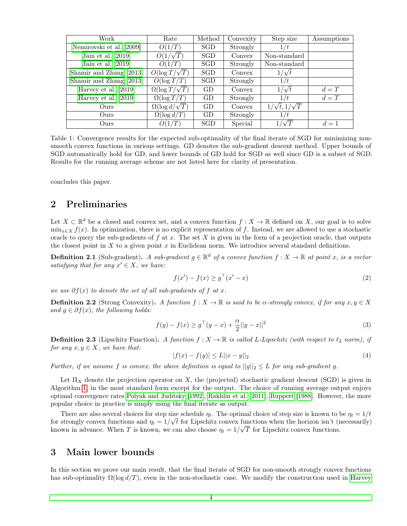| Work                     | Rate                      | Method     | Convexity | Step size                   | Assumptions |
|--------------------------|---------------------------|------------|-----------|-----------------------------|-------------|
| Nemirovski et al. [2009] | O(1/T)                    | <b>SGD</b> | Strongly  | 1/t                         |             |
| Jain et al. $[2019]$     | $O(1/\sqrt{T})$           | <b>SGD</b> | Convex    | Non-standard                |             |
| Jain et al. $[2019]$     | O(1/T)                    | SGD        | Strongly  | Non-standard                |             |
| Shamir and Zhang [2013]  | $O(\log T/\sqrt{T})$      | <b>SGD</b> | Convex    | $1/\sqrt{t}$                |             |
| Shamir and Zhang [2013]  | $O(\log T/T)$             | <b>SGD</b> | Strongly  | 1/t                         |             |
| Harvey et al. [2019]     | $\Omega(\log T/\sqrt{T})$ | GD         | Convex    | $1/\sqrt{t}$                | $d = T$     |
| Harvey et al. $[2019]$   | $\Omega(\log T/T)$        | GD         | Strongly  | 1/t                         | $d = T$     |
| Ours                     | $\Omega(\log d/\sqrt{T})$ | GD         | Convex    | $1/\sqrt{t}$ , $1/\sqrt{T}$ |             |
| Ours                     | $\Omega(\log d/T)$        | GD         | Strongly  | 1/t                         |             |
| Ours                     | O(1/T)                    | <b>SGD</b> | Special   | $\sqrt{T}$                  | $d=1$       |

Table 1: Convergence results for the expected sub-optimality of the final iterate of SGD for minimizing nonsmooth convex functions in various settings. GD denotes the sub-gradient descent method. Upper bounds of SGD automatically hold for GD, and lower bounds of GD hold for SGD as well since GD is a subset of SGD. Results for the running average scheme are not listed here for clarity of presentation.

concludes this paper.

## 2 Preliminaries

Let  $X \subset \mathbb{R}^d$  be a closed and convex set, and a convex function  $f: X \to \mathbb{R}$  defined on X, our goal is to solve  $\min_{x \in X} f(x)$ . In optimization, there is no explicit representation of f. Instead, we are allowed to use a stochastic oracle to query the sub-gradients of  $f$  at  $x$ . The set  $X$  is given in the form of a projection oracle, that outputs the closest point in  $X$  to a given point  $x$  in Euclidean norm. We introduce several standard definitions.

**Definition 2.1** (Sub-gradient). A sub-gradient  $g \in \mathbb{R}^d$  of a convex function  $f : X \to \mathbb{R}$  at point x, is a vector satisfying that for any  $x' \in X$ , we have:

$$
f(x') - f(x) \ge g^\top (x' - x) \tag{2}
$$

we use  $\partial f(x)$  to denote the set of all sub-gradients of f at x.

**Definition 2.2** (Strong Convexity). A function  $f : X \to \mathbb{R}$  is said to be  $\alpha$ -strongly convex, if for any  $x, y \in X$ and  $g \in \partial f(x)$ , the following holds:

$$
f(y) - f(x) \ge g^{\top} (y - x) + \frac{\alpha}{2} ||y - x||^2
$$
\n(3)

**Definition 2.3** (Lipschitz Function). A function  $f: X \to \mathbb{R}$  is called L-Lipschitz (with respect to  $\ell_2$  norm), if for any  $x, y \in X$ , we have that:

$$
|f(x) - f(y)| \le L||x - y||_2 \tag{4}
$$

Further, if we assume f is convex, the above definition is equal to  $||g||_2 \leq L$  for any sub-gradient g.

Let  $\Pi_X$  denote the projection operator on X, the (projected) stochastic gradient descent (SGD) is given in Algorithm [1,](#page-4-0) in the most standard form except for the output. The choice of running average output enjoys optimal convergence rates [Polyak and Juditsky](#page-15-9) [\[1992\]](#page-15-9), [Rakhlin et al.](#page-15-13) [\[2011\]](#page-15-13), [Ruppert](#page-15-14) [\[1988\]](#page-15-14). However, the more popular choice in practice is simply using the final iterate as output.

There are also several choices for step size schedule  $\eta_t$ . The optimal choice of step size is known to be  $\eta_t = 1/t$ for strongly convex functions and  $\eta_t = 1/\sqrt{t}$  for Lipschitz convex functions when the horizon isn't (necessarily) known in advance. When T is known, we can also choose  $\eta_t = 1/\sqrt{T}$  for Lipschitz convex functions.

## 3 Main lower bounds

In this section we prove our main result, that the final iterate of SGD for non-smooth strongly convex functions has sub-optimality  $\Omega(\log d/T)$ , even in the non-stochastic case. We modify the construction used in [Harvey](#page-15-0)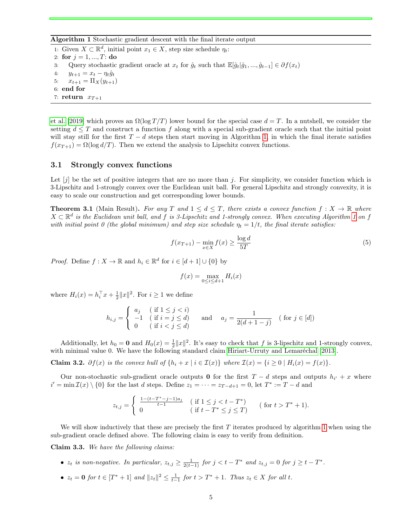Algorithm 1 Stochastic gradient descent with the final iterate output

<span id="page-4-0"></span>1: Given  $X \subset \mathbb{R}^d$ , initial point  $x_1 \in X$ , step size schedule  $\eta_t$ : 2: for  $j = 1, ..., T$ : do

- 3: Query stochastic gradient oracle at  $x_t$  for  $\hat{g}_t$  such that  $\mathbb{E}[\hat{g}_t|\hat{g}_1, ..., \hat{g}_{t-1}] \in \partial f(x_t)$
- 4:  $y_{t+1} = x_t \eta_t \hat{g}_t$
- 5:  $x_{t+1} = \Pi_X(y_{t+1})$
- 6: end for
- 7: return  $x_{T+1}$

[et al.](#page-15-0) [\[2019\]](#page-15-0) which proves an  $\Omega(\log T/T)$  lower bound for the special case  $d = T$ . In a nutshell, we consider the setting  $d \leq T$  and construct a function f along with a special sub-gradient oracle such that the initial point will stay still for the first  $T - d$  steps then start moving in Algorithm [1,](#page-4-0) in which the final iterate satisfies  $f(x_{T+1}) = \Omega(\log d/T)$ . Then we extend the analysis to Lipschitz convex functions.

### 3.1 Strongly convex functions

Let  $[i]$  be the set of positive integers that are no more than j. For simplicity, we consider function which is 3-Lipschitz and 1-strongly convex over the Euclidean unit ball. For general Lipschitz and strongly convexity, it is easy to scale our construction and get corresponding lower bounds.

<span id="page-4-1"></span>**Theorem 3.1** (Main Result). For any T and  $1 \leq d \leq T$ , there exists a convex function  $f: X \to \mathbb{R}$  where  $X \subset \mathbb{R}^d$  is the Euclidean unit ball, and f is 3-Lipschitz and [1](#page-4-0)-strongly convex. When executing Algorithm 1 on f with initial point 0 (the global minimum) and step size schedule  $\eta_t = 1/t$ , the final iterate satisfies:

$$
f(x_{T+1}) - \min_{x \in X} f(x) \ge \frac{\log d}{5T} \tag{5}
$$

*Proof.* Define  $f: X \to \mathbb{R}$  and  $h_i \in \mathbb{R}^d$  for  $i \in [d+1] \cup \{0\}$  by

$$
f(x) = \max_{0 \le i \le d+1} H_i(x)
$$

where  $H_i(x) = h_i^{\top} x + \frac{1}{2} ||x||^2$ . For  $i \ge 1$  we define

$$
h_{i,j} = \begin{cases} a_j & (\text{if } 1 \le j < i) \\ -1 & (\text{if } i = j \le d) \\ 0 & (\text{if } i < j \le d) \end{cases} \text{ and } a_j = \frac{1}{2(d+1-j)} \quad (\text{for } j \in [d])
$$

Additionally, let  $h_0 = \mathbf{0}$  and  $H_0(x) = \frac{1}{2} ||x||^2$ . It's easy to check that f is 3-lipschitz and 1-strongly convex, with minimal value 0. We have the following standard claim [Hiriart-Urruty and Lemaréchal](#page-15-15) [\[2013\]](#page-15-15).

Claim 3.2.  $\partial f(x)$  is the convex hull of  $\{h_i + x \mid i \in I(x)\}\$  where  $I(x) = \{i \geq 0 \mid H_i(x) = f(x)\}\$ .

Our non-stochastic sub-gradient oracle outputs 0 for the first  $T - d$  steps and outputs  $h_{i'} + x$  where  $i' = \min \mathcal{I}(x) \setminus \{0\}$  for the last d steps. Define  $z_1 = \cdots = z_{T-d+1} = 0$ , let  $T^* := T - d$  and

$$
z_{t,j} = \begin{cases} \frac{1 - (t - T^* - j - 1)a_j}{t - 1} & (\text{if } 1 \le j < t - T^*)\\ 0 & (\text{if } t - T^* \le j \le T) \end{cases} \quad (\text{for } t > T^* + 1).
$$

We will show inductively that these are precisely the first  $T$  iterates produced by algorithm [1](#page-4-0) when using the sub-gradient oracle defined above. The following claim is easy to verify from definition.

Claim 3.3. We have the following claims:

- $z_t$  is non-negative. In particular,  $z_{t,j} \geq \frac{1}{2(t-1)}$  for  $j < t T^*$  and  $z_{t,j} = 0$  for  $j \geq t T^*$ .
- $z_t = 0$  for  $t \in [T^* + 1]$  and  $||z_t||^2 \leq \frac{1}{t-1}$  for  $t > T^* + 1$ . Thus  $z_t \in X$  for all t.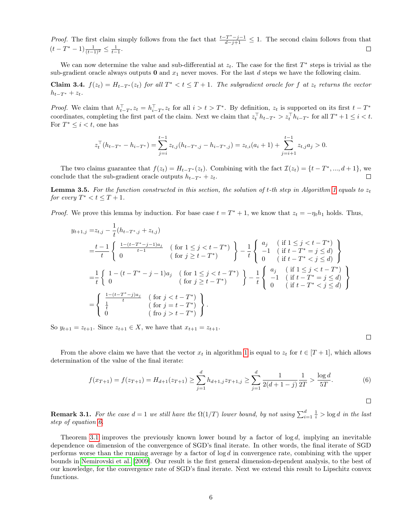*Proof.* The first claim simply follows from the fact that  $\frac{t-T^*-j-1}{d-j+1} \leq 1$ . The second claim follows from that  $(t - T^* - 1) \frac{1}{(t-1)^2} \leq \frac{1}{t-1}.$  $\Box$ 

We can now determine the value and sub-differential at  $z_t$ . The case for the first  $T^*$  steps is trivial as the sub-gradient oracle always outputs  $\mathbf 0$  and  $x_1$  never moves. For the last d steps we have the following claim.

**Claim 3.4.**  $f(z_t) = H_{t-T^*}(z_t)$  for all  $T^* < t \leq T+1$ . The subgradient oracle for f at  $z_t$  returns the vector  $h_{t-T^*} + z_t$ .

*Proof.* We claim that  $h_{t-T^*}^{\top} z_t = h_{i-T^*}^{\top} z_t$  for all  $i > t > T^*$ . By definition,  $z_t$  is supported on its first  $t - T^*$ coordinates, completing the first part of the claim. Next we claim that  $z_t^\top h_{t-T^*} > z_t^\top h_{i-T^*}$  for all  $T^*+1 \leq i < t$ . For  $T^* \leq i < t$ , one has

$$
z_t^{\top} (h_{t-T^*} - h_{i-T^*}) = \sum_{j=i}^{t-1} z_{t,j} (h_{t-T^*,j} - h_{i-T^*,j}) = z_{t,i} (a_i + 1) + \sum_{j=i+1}^{t-1} z_{t,j} a_j > 0.
$$

The two claims guarantee that  $f(z_t) = H_{t-T^*}(z_t)$ . Combining with the fact  $\mathcal{I}(z_t) = \{t - T^*, ..., d + 1\}$ , we conclude that the sub-gradient oracle outputs  $h_{t-T^*} + z_t$ .

**Lemma 3.5.** For the function constructed in this section, the solution of t-th step in Algorithm [1](#page-4-0) equals to  $z_t$ for every  $T^* < t \leq T + 1$ .

*Proof.* We prove this lemma by induction. For base case  $t = T^* + 1$ , we know that  $z_t = -\eta_t h_1$  holds. Thus,

$$
y_{t+1,j} = z_{t,j} - \frac{1}{t} (h_{t-T^*,j} + z_{t,j})
$$
  
\n
$$
= \frac{t-1}{t} \begin{cases} \frac{1-(t-T^*-j-1)a_j}{t-1} & (\text{ for } 1 \le j < t-T^*) \\ 0 & (\text{ for } j \ge t-T^*) \end{cases} - \frac{1}{t} \begin{cases} a_j & (\text{ if } 1 \le j < t-T^*) \\ -1 & (\text{ if } t-T^* = j \le d) \\ 0 & (\text{ if } t-T^* < j \le d) \end{cases}
$$
  
\n
$$
= \frac{1}{t} \begin{cases} 1 - (t-T^* - j - 1)a_j & (\text{ for } 1 \le j < t-T^*) \\ 0 & (\text{ for } j \ge t-T^*) \end{cases} - \frac{1}{t} \begin{cases} a_j & (\text{ if } 1 \le j < t-T^*) \\ -1 & (\text{ if } t-T^* = j \le d) \\ 0 & (\text{ if } t-T^* < j \le d) \end{cases}
$$
  
\n
$$
= \begin{cases} \frac{1-(t-T^*-j)a_j}{t} & (\text{ for } j < t-T^*) \\ 0 & (\text{ for } j > t-T^*) \\ 0 & (\text{ for } j > t-T^*) \end{cases}
$$

So  $y_{t+1} = z_{t+1}$ . Since  $z_{t+1} \in X$ , we have that  $x_{t+1} = z_{t+1}$ .

From the above claim we have that the vector  $x_t$  in algorithm [1](#page-4-0) is equal to  $z_t$  for  $t \in [T + 1]$ , which allows determination of the value of the final iterate:

<span id="page-5-0"></span>
$$
f(x_{T+1}) = f(z_{T+1}) = H_{d+1}(z_{T+1}) \ge \sum_{j=1}^d h_{d+1,j} z_{T+1,j} \ge \sum_{j=1}^d \frac{1}{2(d+1-j)} \frac{1}{2T} > \frac{\log d}{5T}.
$$
 (6)

 $\Box$ 

 $\Box$ 

**Remark 3.1.** For the case  $d = 1$  we still have the  $\Omega(1/T)$  lower bound, by not using  $\sum_{i=1}^{d} \frac{1}{i} > \log d$  in the last step of equation [6.](#page-5-0)

Theorem [3.1](#page-4-1) improves the previously known lower bound by a factor of  $log d$ , implying an inevitable dependence on dimension of the convergence of SGD's final iterate. In other words, the final iterate of SGD performs worse than the running average by a factor of  $\log d$  in convergence rate, combining with the upper bounds in [Nemirovski et al.](#page-15-3) [\[2009\]](#page-15-3). Our result is the first general dimension-dependent analysis, to the best of our knowledge, for the convergence rate of SGD's final iterate. Next we extend this result to Lipschitz convex functions.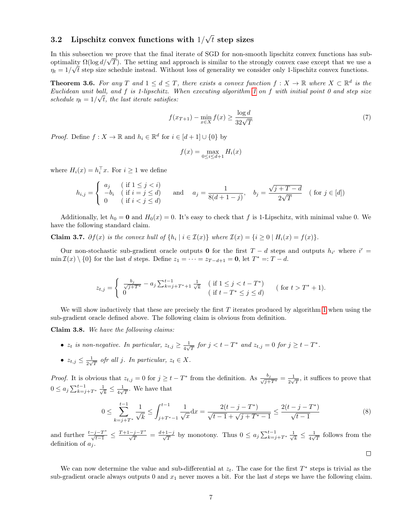#### $3.2$  Lipschitz convex functions with  $1/$ √  $t$  step sizes

In this subsection we prove that the final iterate of SGD for non-smooth lipschitz convex functions has sub-In this subsection we prove that the final iterate of SGD for non-smooth lipschitz convex functions has sub-<br>optimality  $\Omega(\log d/\sqrt{T})$ . The setting and approach is similar to the strongly convex case except that we use a  $\eta_t = 1/\sqrt{t}$  step size schedule instead. Without loss of generality we consider only 1-lipschitz convex functions.

**Theorem 3.6.** For any T and  $1 \leq d \leq T$ , there exists a convex function  $f: X \to \mathbb{R}$  where  $X \subset \mathbb{R}^d$  is the Euclidean unit ball, and f is [1](#page-4-0)-lipschitz. When executing algorithm 1 on f with initial point 0 and step size schedule  $\eta_t = 1/\sqrt{t}$ , the last iterate satisfies:

$$
f(x_{T+1}) - \min_{x \in X} f(x) \ge \frac{\log d}{32\sqrt{T}}\tag{7}
$$

*Proof.* Define  $f: X \to \mathbb{R}$  and  $h_i \in \mathbb{R}^d$  for  $i \in [d+1] \cup \{0\}$  by

$$
f(x) = \max_{0 \le i \le d+1} H_i(x)
$$

where  $H_i(x) = h_i^{\top} x$ . For  $i \geq 1$  we define

$$
h_{i,j} = \begin{cases} a_j & \text{if } 1 \leq j < i) \\ -b_i & \text{if } i = j \leq d) \\ 0 & \text{if } i < j \leq d \end{cases} \quad \text{and} \quad a_j = \frac{1}{8(d+1-j)}, \quad b_j = \frac{\sqrt{j+T-d}}{2\sqrt{T}} \quad (\text{for } j \in [d])
$$

Additionally, let  $h_0 = 0$  and  $H_0(x) = 0$ . It's easy to check that f is 1-Lipschitz, with minimal value 0. We have the following standard claim.

Claim 3.7.  $\partial f(x)$  is the convex hull of  $\{h_i \mid i \in I(x)\}$  where  $I(x) = \{i \ge 0 \mid H_i(x) = f(x)\}.$ 

Our non-stochastic sub-gradient oracle outputs 0 for the first  $T - d$  steps and outputs  $h_{i'}$  where  $i' =$  $\min \mathcal{I}(x) \setminus \{0\}$  for the last d steps. Define  $z_1 = \cdots = z_{T-d+1} = 0$ , let  $T^* =: T - d$ .

$$
z_{t,j} = \begin{cases} \frac{b_j}{\sqrt{j+T^*}} - a_j \sum_{k=j+T^*+1}^{t-1} \frac{1}{\sqrt{k}} & (\text{if } 1 \le j < t - T^*)\\ 0 & (\text{if } t - T^* \le j \le d) \end{cases} \quad (\text{for } t > T^* + 1).
$$

We will show inductively that these are precisely the first  $T$  iterates produced by algorithm [1](#page-4-0) when using the sub-gradient oracle defined above. The following claim is obvious from definition.

Claim 3.8. We have the following claims:

- $z_t$  is non-negative. In particular,  $z_{t,j} \geq \frac{1}{4\sqrt{3}}$  $\frac{1}{4\sqrt{T}}$  for  $j < t - T^*$  and  $z_{t,j} = 0$  for  $j \ge t - T^*$ .
- $z_{t,j} \leq \frac{1}{2\sqrt{3}}$  $\frac{1}{2\sqrt{T}}$  ofr all j. In particular,  $z_t \in X$ .

*Proof.* It is obvious that  $z_{t,j} = 0$  for  $j \ge t - T^*$  from the definition. As  $\frac{b_j}{\sqrt{j+T^*}} = \frac{1}{2\sqrt{T}}$  $\frac{1}{2\sqrt{T}}$ , it suffices to prove that  $0 \le a_j \sum_{k=j+T^*}^{t-1} \frac{1}{\sqrt{2}}$  $\frac{1}{k} \leq \frac{1}{4\sqrt{2}}$  $\frac{1}{4\sqrt{T}}$ . We have that

$$
0 \le \sum_{k=j+T^*}^{t-1} \frac{1}{\sqrt{k}} \le \int_{j+T^*-1}^{t-1} \frac{1}{\sqrt{x}} dx = \frac{2(t-j-T^*)}{\sqrt{t-1} + \sqrt{j+T^*-1}} \le \frac{2(t-j-T^*)}{\sqrt{t-1}}
$$
(8)

 $\Box$ 

and further  $\frac{t-j-T^*}{\sqrt{t-1}} \leq \frac{T+1-j-T^*}{\sqrt{T}} = \frac{d+1-j}{\sqrt{T}}$  by monotony. Thus  $0 \leq a_j \sum_{k=j+T^*}^{t-1} \frac{1}{\sqrt{T}}$  $\frac{1}{k} \leq \frac{1}{4\sqrt{2}}$  $\frac{1}{4\sqrt{T}}$  follows from the definition of  $a_i$ .

We can now determine the value and sub-differential at  $z_t$ . The case for the first  $T^*$  steps is trivial as the sub-gradient oracle always outputs 0 and  $x_1$  never moves a bit. For the last d steps we have the following claim.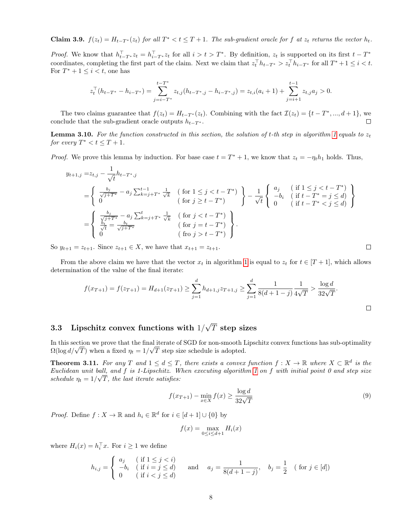**Claim 3.9.**  $f(z_t) = H_{t-T^*}(z_t)$  for all  $T^* < t \leq T+1$ . The sub-gradient oracle for f at  $z_t$  returns the vector  $h_t$ .

*Proof.* We know that  $h_{t-T^*}^{\top} z_t = h_{i-T^*}^{\top} z_t$  for all  $i > t > T^*$ . By definition,  $z_t$  is supported on its first  $t - T^*$ coordinates, completing the first part of the claim. Next we claim that  $z_t^\top h_{t-T^*} > z_t^\top h_{i-T^*}$  for all  $T^*+1 \leq i < t$ . For  $T^* + 1 \leq i < t$ , one has

$$
z_t^{\top}(h_{t-T^*} - h_{i-T^*}) = \sum_{j=i-T^*}^{t-T^*} z_{t,j}(h_{t-T^*,j} - h_{i-T^*,j}) = z_{t,i}(a_i+1) + \sum_{j=i+1}^{t-1} z_{t,j}a_j > 0.
$$

The two claims guarantee that  $f(z_t) = H_{t-T^*}(z_t)$ . Combining with the fact  $\mathcal{I}(z_t) = \{t - T^*, ..., d + 1\}$ , we conclude that the sub-gradient oracle outputs  $h_{t-T^*}$ .

**Lemma 3.10.** For the function constructed in this section, the solution of t-th step in algorithm [1](#page-4-0) equals to  $z_t$ for every  $T^* < t \leq T + 1$ .

*Proof.* We prove this lemma by induction. For base case  $t = T^* + 1$ , we know that  $z_t = -\eta_t h_1$  holds. Thus,

$$
y_{t+1,j} = z_{t,j} - \frac{1}{\sqrt{t}} h_{t-T^*,j}
$$
  
\n
$$
= \begin{cases} \frac{b_j}{\sqrt{j+T^*}} - a_j \sum_{k=j+T^*}^{t-1} \frac{1}{\sqrt{k}} & (\text{for } 1 \le j < t - T^*) \\ 0 & (\text{for } j \ge t - T^*) \end{cases} - \frac{1}{\sqrt{t}} \begin{cases} a_j & (\text{if } 1 \le j < t - T^*) \\ -b_i & (\text{if } t - T^* = j \le d) \\ 0 & (\text{if } t - T^* < j \le d) \end{cases}
$$
  
\n
$$
= \begin{cases} \frac{b_j}{\sqrt{j+T^*}} - a_j \sum_{k=j+T^*}^{t} \frac{1}{\sqrt{k}} & (\text{for } j < t - T^*) \\ 0 & (\text{for } j = t - T^*) \\ 0 & (\text{for } j > t - T^*) \end{cases}.
$$

So  $y_{t+1} = z_{t+1}$ . Since  $z_{t+1} \in X$ , we have that  $x_{t+1} = z_{t+1}$ .

From the above claim we have that the vector  $x_t$  in algorithm [1](#page-4-0) is equal to  $z_t$  for  $t \in [T + 1]$ , which allows determination of the value of the final iterate:

$$
f(x_{T+1}) = f(z_{T+1}) = H_{d+1}(z_{T+1}) \ge \sum_{j=1}^{d} h_{d+1,j} z_{T+1,j} \ge \sum_{j=1}^{d} \frac{1}{8(d+1-j)} \frac{1}{4\sqrt{T}} > \frac{\log d}{32\sqrt{T}}.
$$

#### 3.3 Lipschitz convex functions with  $1/$ √  $T$  step sizes

In this section we prove that the final iterate of SGD for non-smooth Lipschitz convex functions has sub-optimality In this section we prove that the final iterate of SGD for non-smooth L<br> $\Omega(\log d/\sqrt{T})$  when a fixed  $\eta_t = 1/\sqrt{T}$  step size schedule is adopted.

**Theorem 3.11.** For any T and  $1 \leq d \leq T$ , there exists a convex function  $f: X \to \mathbb{R}$  where  $X \subset \mathbb{R}^d$  is the Euclidean unit ball, and f is [1](#page-4-0)-Lipschitz. When executing algorithm 1 on f with initial point 0 and step size schedule  $\eta_t = 1/\sqrt{T}$ , the last iterate satisfies:

$$
f(x_{T+1}) - \min_{x \in X} f(x) \ge \frac{\log d}{32\sqrt{T}}\tag{9}
$$

*Proof.* Define  $f: X \to \mathbb{R}$  and  $h_i \in \mathbb{R}^d$  for  $i \in [d+1] \cup \{0\}$  by

$$
f(x) = \max_{0 \le i \le d+1} H_i(x)
$$

where  $H_i(x) = h_i^{\top} x$ . For  $i \geq 1$  we define

$$
h_{i,j} = \begin{cases} a_j & \text{if } 1 \le j < i) \\ -b_i & \text{if } i = j \le d) \\ 0 & \text{if } i < j \le d \end{cases} \quad \text{and} \quad a_j = \frac{1}{8(d+1-j)}, \quad b_j = \frac{1}{2} \quad (\text{for } j \in [d])
$$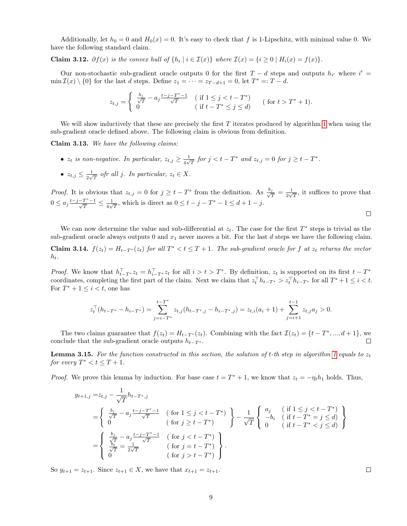Additionally, let  $h_0 = 0$  and  $H_0(x) = 0$ . It's easy to check that f is 1-Lipschitz, with minimal value 0. We have the following standard claim.

Claim 3.12.  $\partial f(x)$  is the convex hull of  $\{h_i \mid i \in \mathcal{I}(x)\}\$  where  $\mathcal{I}(x) = \{i \geq 0 \mid H_i(x) = f(x)\}\$ .

Our non-stochastic sub-gradient oracle outputs 0 for the first  $T - d$  steps and outputs  $h_{i'}$  where  $i' =$  $\min \mathcal{I}(x) \setminus \{0\}$  for the last d steps. Define  $z_1 = \cdots = z_{T-d+1} = 0$ , let  $T^* =: T - d$ .

$$
z_{t,j} = \begin{cases} \frac{b_j}{\sqrt{T}} - a_j \frac{t-j-T^*-1}{\sqrt{T}} & (\text{if } 1 \le j < t - T^*)\\ 0 & (\text{if } t - T^* \le j \le d) \end{cases} \quad (\text{for } t > T^* + 1).
$$

We will show inductively that these are precisely the first  $T$  iterates produced by algorithm [1](#page-4-0) when using the sub-gradient oracle defined above. The following claim is obvious from definition.

Claim 3.13. We have the following claims:

- $z_t$  is non-negative. In particular,  $z_{t,j} \geq \frac{1}{4\sqrt{3}}$  $\frac{1}{4\sqrt{T}}$  for  $j < t - T^*$  and  $z_{t,j} = 0$  for  $j \ge t - T^*$ .
- $z_{t,j} \leq \frac{1}{2\sqrt{3}}$  $\frac{1}{2\sqrt{T}}$  ofr all j. In particular,  $z_t \in X$ .

*Proof.* It is obvious that  $z_{t,j} = 0$  for  $j \geq t - T^*$  from the definition. As  $\frac{b_j}{\sqrt{t}}$  $\frac{j}{T}=\frac{1}{2\sqrt{2}}$  $\frac{1}{2\sqrt{T}}$ , it suffices to prove that  $0 \leq a_j \frac{t-j-T^*-1}{\sqrt{T}}$  $\frac{T^*-1}{T}\leq\frac{1}{4\sqrt{}}$  $\frac{1}{4\sqrt{T}}$ , which is direct as  $0 \le t - j - T^* - 1 \le d + 1 - j$ .  $\Box$ 

We can now determine the value and sub-differential at  $z_t$ . The case for the first  $T^*$  steps is trivial as the sub-gradient oracle always outputs 0 and  $x_1$  never moves a bit. For the last  $d$  steps we have the following claim.

**Claim 3.14.**  $f(z_t) = H_{t-T^*}(z_t)$  for all  $T^* < t \leq T+1$ . The sub-gradient oracle for f at  $z_t$  returns the vector  $h_t$ .

*Proof.* We know that  $h_{t-T^*}^{\top} z_t = h_{i-T^*}^{\top} z_t$  for all  $i > t > T^*$ . By definition,  $z_t$  is supported on its first  $t - T^*$ coordinates, completing the first part of the claim. Next we claim that  $z_t^\top h_{t-T^*} > z_t^\top h_{i-T^*}$  for all  $T^*+1 \leq i < t$ . For  $T^* + 1 \leq i < t$ , one has

$$
z_t^{\top}(h_{t-T^*} - h_{i-T^*}) = \sum_{j=i-T^*}^{t-T^*} z_{t,j}(h_{t-T^*,j} - h_{i-T^*,j}) = z_{t,i}(a_i+1) + \sum_{j=i+1}^{t-1} z_{t,j}a_j > 0.
$$

The two claims guarantee that  $f(z_t) = H_{t-T^*}(z_t)$ . Combining with the fact  $\mathcal{I}(z_t) = \{t - T^*, ..., d + 1\}$ , we conclude that the sub-gradient oracle outputs  $h_{t-T^*}$ . П

**Lemma 3.15.** For the function constructed in this section, the solution of t-th step in algorithm [1](#page-4-0) equals to  $z_t$ for every  $T^* < t \leq T + 1$ .

*Proof.* We prove this lemma by induction. For base case  $t = T^* + 1$ , we know that  $z_t = -\eta_t h_1$  holds. Thus,

$$
y_{t+1,j} = z_{t,j} - \frac{1}{\sqrt{T}} h_{t-T^*,j}
$$
  
\n
$$
= \begin{cases} \frac{b_j}{\sqrt{T}} - a_j \frac{t-j-T^*-1}{\sqrt{T}} & (\text{ for } 1 \le j < t - T^*) \\ 0 & (\text{ for } j \ge t - T^*) \end{cases} - \frac{1}{\sqrt{T}} \begin{cases} a_j & (\text{ if } 1 \le j < t - T^*) \\ -b_i & (\text{ if } t - T^* = j \le d) \\ 0 & (\text{ if } t - T^* < j \le d) \end{cases}
$$
  
\n
$$
= \begin{cases} \frac{b_j}{\sqrt{T}} - a_j \frac{t-j-T^*-1}{\sqrt{T}} & (\text{ for } j < t - T^*) \\ 0 & (\text{ for } j = t - T^*) \\ 0 & (\text{ for } j > t - T^*) \end{cases}.
$$

So  $y_{t+1} = z_{t+1}$ . Since  $z_{t+1} \in X$ , we have that  $x_{t+1} = z_{t+1}$ .

 $\Box$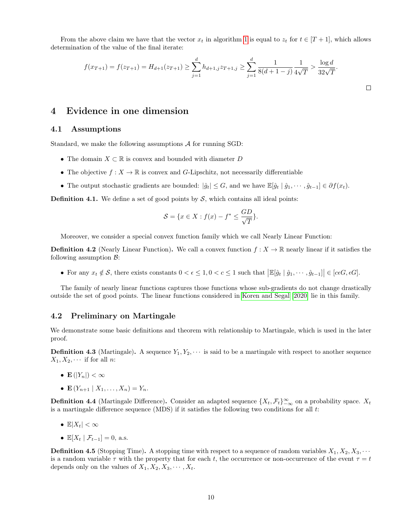From the above claim we have that the vector  $x_t$  in algorithm [1](#page-4-0) is equal to  $z_t$  for  $t \in [T + 1]$ , which allows determination of the value of the final iterate:

$$
f(x_{T+1}) = f(z_{T+1}) = H_{d+1}(z_{T+1}) \ge \sum_{j=1}^{d} h_{d+1,j} z_{T+1,j} \ge \sum_{j=1}^{d} \frac{1}{8(d+1-j)} \frac{1}{4\sqrt{T}} > \frac{\log d}{32\sqrt{T}}.
$$

## 4 Evidence in one dimension

### 4.1 Assumptions

Standard, we make the following assumptions A for running SGD:

- The domain  $X \subset \mathbb{R}$  is convex and bounded with diameter D
- The objective  $f: X \to \mathbb{R}$  is convex and G-Lipschitz, not necessarily differentiable
- The output stochastic gradients are bounded:  $|\hat{g}_t| \leq G$ , and we have  $\mathbb{E}[\hat{g}_t | \hat{g}_1, \dots, \hat{g}_{t-1}] \in \partial f(x_t)$ .

**Definition 4.1.** We define a set of good points by  $S$ , which contains all ideal points:

$$
\mathcal{S} = \{ x \in X : f(x) - f^* \le \frac{GD}{\sqrt{T}} \}.
$$

Moreover, we consider a special convex function family which we call Nearly Linear Function:

**Definition 4.2** (Nearly Linear Function). We call a convex function  $f : X \to \mathbb{R}$  nearly linear if it satisfies the following assumption  $\mathcal{B}$ :

• For any  $x_t \notin \mathcal{S}$ , there exists constants  $0 < \epsilon \leq 1, 0 < c \leq 1$  such that  $\left| \mathbb{E}[\hat{g}_t | \hat{g}_1, \cdots, \hat{g}_{t-1}] \right| \in [c \epsilon G, \epsilon G].$ 

The family of nearly linear functions captures those functions whose sub-gradients do not change drastically outside the set of good points. The linear functions considered in [Koren and Segal](#page-15-1) [\[2020\]](#page-15-1) lie in this family.

### 4.2 Preliminary on Martingale

We demonstrate some basic definitions and theorem with relationship to Martingale, which is used in the later proof.

**Definition 4.3** (Martingale). A sequence  $Y_1, Y_2, \cdots$  is said to be a martingale with respect to another sequence  $X_1, X_2, \cdots$  if for all *n*:

- $\mathbf{E}(|Y_n|) < \infty$
- $\mathbf{E}(Y_{n+1} | X_1, \ldots, X_n) = Y_n.$

**Definition 4.4** (Martingale Difference). Consider an adapted sequence  $\{X_t, \mathcal{F}_t\}_{-\infty}^{\infty}$  on a probability space.  $X_t$ is a martingale difference sequence (MDS) if it satisfies the following two conditions for all  $t$ :

- $\mathbb{E}|X_t| < \infty$
- $\mathbb{E}[X_t | \mathcal{F}_{t-1}] = 0$ , a.s.

**Definition 4.5** (Stopping Time). A stopping time with respect to a sequence of random variables  $X_1, X_2, X_3, \cdots$ is a random variable  $\tau$  with the property that for each t, the occurrence or non-occurrence of the event  $\tau = t$ depends only on the values of  $X_1, X_2, X_3, \cdots, X_t$ .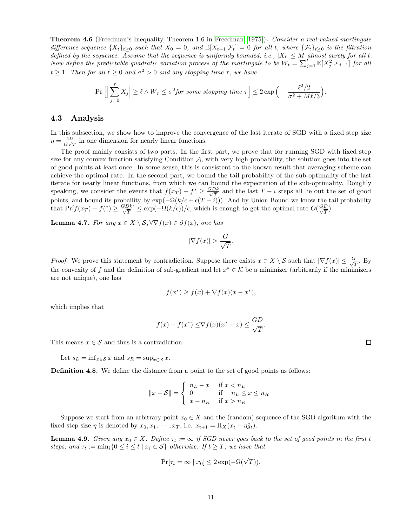Theorem 4.6 (Freedman's Inequality, Theorem 1.6 in [Freedman](#page-15-16) [\[1975\]](#page-15-16)). Consider a real-valued martingale difference sequence  $\{X_t\}_{t\geq 0}$  such that  $X_0 = 0$ , and  $\mathbb{E}[X_{t+1}|\mathcal{F}_t] = 0$  for all t, where  $\{\mathcal{F}_t\}_{t\geq 0}$  is the filtration defined by the sequence. Assume that the sequence is uniformly bounded, i.e.,  $|X_t| \leq M$  almost surely for all t. Now define the predictable quadratic variation process of the martingale to be  $W_t = \sum_{j=1}^t \mathbb{E}[X_j^2 | \mathcal{F}_{j-1}]$  for all  $t \geq 1$ . Then for all  $\ell \geq 0$  and  $\sigma^2 > 0$  and any stopping time  $\tau$ , we have

$$
\Pr\Big[\Big|\sum_{j=0}^{\tau} X_j\Big| \ge \ell \wedge W_{\tau} \le \sigma^2 for \ some \ stopping \ time \ \tau\Big] \le 2\exp\Big(-\frac{\ell^2/2}{\sigma^2 + M\ell/3}\Big).
$$

### 4.3 Analysis

In this subsection, we show how to improve the convergence of the last iterate of SGD with a fixed step size  $\eta = \frac{4D}{C}$  $\frac{4D}{G\sqrt{T}}$  in one dimension for nearly linear functions.

The proof mainly consists of two parts. In the first part, we prove that for running SGD with fixed step size for any convex function satisfying Condition  $\mathcal{A}$ , with very high probability, the solution goes into the set of good points at least once. In some sense, this is consistent to the known result that averaging scheme can achieve the optimal rate. In the second part, we bound the tail probability of the sub-optimality of the last iterate for nearly linear functions, from which we can bound the expectation of the sub-optimality. Roughly speaking, we consider the events that  $f(x_T) - f^* \ge \frac{GDk}{\sqrt{T}}$  and the last  $T - i$  steps all lie out the set of good points, and bound its probaility by  $\exp(-\Omega(k/\epsilon + \epsilon(T - i)))$ . And by Union Bound we know the tail probability that  $Pr[f(x_T) - f^*) \ge \frac{GDk}{\sqrt{T}}] \le \exp(-\Omega(k/\epsilon))/\epsilon$ , which is enough to get the optimal rate  $O(\frac{GD}{\sqrt{T}})$ .

<span id="page-10-0"></span>**Lemma 4.7.** For any  $x \in X \setminus S, \forall \nabla f(x) \in \partial f(x)$ , one has

$$
|\nabla f(x)| > \frac{G}{\sqrt{T}}.
$$

*Proof.* We prove this statement by contradiction. Suppose there exists  $x \in X \setminus S$  such that  $|\nabla f(x)| \leq \frac{G}{\sqrt{2}}$  $\frac{r}{T}$ . By the convexity of f and the definition of sub-gradient and let  $x^* \in \mathcal{K}$  be a minimizer (arbitrarily if the minimizers are not unique), one has

$$
f(x^*) \ge f(x) + \nabla f(x)(x - x^*),
$$

which implies that

$$
f(x) - f(x^*) \leq \nabla f(x)(x^* - x) \leq \frac{GD}{\sqrt{T}}.
$$

This means  $x \in \mathcal{S}$  and thus is a contradiction.

Let  $s_L = \inf_{x \in \mathcal{S}} x$  and  $s_R = \sup_{x \in \mathcal{S}} x$ .

Definition 4.8. We define the distance from a point to the set of good points as follows:

$$
||x - S|| = \begin{cases} n_L - x & \text{if } x < n_L \\ 0 & \text{if } n_L \le x \le n_R \\ x - n_R & \text{if } x > n_R \end{cases}
$$

Suppose we start from an arbitrary point  $x_0 \in X$  and the (random) sequence of the SGD algorithm with the fixed step size  $\eta$  is denoted by  $x_0, x_1, \dots, x_T$ , i.e.  $x_{t+1} = \Pi_X(x_t - \eta \hat{g}_t)$ .

<span id="page-10-1"></span>**Lemma 4.9.** Given any  $x_0 \in X$ . Define  $\tau_t := \infty$  if SGD never goes back to the set of good points in the first t steps, and  $\tau_t := \min_i \{0 \le i \le t \mid x_i \in S\}$  otherwise. If  $t \ge T$ , we have that

$$
\Pr[\tau_t = \infty \mid x_0] \le 2 \exp(-\Omega(\sqrt{T})).
$$

 $\Box$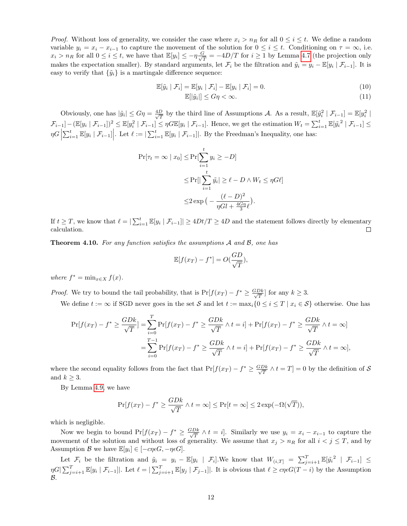*Proof.* Without loss of generality, we consider the case where  $x_i > n_R$  for all  $0 \le i \le t$ . We define a random variable  $y_i = x_i - x_{i-1}$  to capture the movement of the solution for  $0 \le i \le t$ . Conditioning on  $\tau = \infty$ , i.e.  $x_i > n_R$  for all  $0 \leq i \leq t$ , we have that  $\mathbb{E}[y_i] \leq -\eta \frac{G}{\sqrt{2}}$  $\frac{\partial^2 T}{\partial T} = -4D/T$  for  $i \ge 1$  by Lemma [4.7](#page-10-0) (the projection only makes the expectation smaller). By standard arguments, let  $\mathcal{F}_i$  be the filtration and  $\tilde{y}_i = y_i - \mathbb{E}[y_i | \mathcal{F}_{i-1}]$ . It is easy to verify that  $\{\tilde{y}_i\}$  is a martingale difference sequence:

$$
\mathbb{E}[\tilde{y}_i \mid \mathcal{F}_i] = \mathbb{E}[y_i \mid \mathcal{F}_i] - \mathbb{E}[y_i \mid \mathcal{F}_i] = 0.
$$
\n(10)

$$
\mathbb{E}[\left|\tilde{y}_i\right|] \le G\eta < \infty. \tag{11}
$$

Obviously, one has  $|\tilde{y}_i| \leq G\eta = \frac{4D}{\sqrt{\tau}}$  $\frac{D}{T}$  by the third line of Assumptions A. As a result,  $\mathbb{E}[\tilde{y}_i^2 | \mathcal{F}_{i-1}] = \mathbb{E}[y_i^2 |$  $\mathcal{F}_{i-1}]-(\mathbb{E}[y_i \mid \mathcal{F}_{i-1}])^2 \leq \mathbb{E}[y_i^2 \mid \mathcal{F}_{i-1}] \leq \eta G \mathbb{E}[y_i \mid \mathcal{F}_{i-1}].$  Hence, we get the estimation  $W_t = \sum_{i=1}^t \mathbb{E}[ \tilde{y}_i^2 \mid \mathcal{F}_{i-1} ] \leq$  $\eta G\left|\sum_{i=1}^t \mathbb{E}[y_i \mid \mathcal{F}_{i-1}]\right|$ . Let  $\ell := |\sum_{i=1}^t \mathbb{E}[y_i \mid \mathcal{F}_{i-1}]|$ . By the Freedman's Inequality, one has:

$$
\Pr[\tau_t = \infty \mid x_0] \le \Pr[\sum_{i=1}^t y_i \ge -D]
$$
  

$$
\le \Pr[\left| \sum_{i=1}^t \tilde{y}_i \right| \ge \ell - D \land W_t \le \eta G \ell]
$$
  

$$
\le 2 \exp\left(-\frac{(\ell - D)^2}{\eta G \ell + \frac{4G\eta}{3}\ell}\right).
$$

If  $t \geq T$ , we know that  $\ell = |\sum_{i=1}^t \mathbb{E}[y_i \mid \mathcal{F}_{i-1}]| \geq 4Dt/T \geq 4D$  and the statement follows directly by elementary calculation.  $\Box$ 

Theorem 4.10. For any function satisfies the assumptions A and B, one has

$$
\mathbb{E}[f(x_T) - f^*] = O(\frac{GD}{\sqrt{T}}),
$$

where  $f^* = \min_{x \in X} f(x)$ .

*Proof.* We try to bound the tail probability, that is  $Pr[f(x_T) - f^* \geq \frac{GDk}{\sqrt{T}}]$  for any  $k \geq 3$ .

We define  $t := \infty$  if SGD never goes in the set S and let  $t := \max_i \{0 \le i \le T \mid x_i \in S\}$  otherwise. One has

$$
\Pr[f(x_T) - f^* \ge \frac{GDk}{\sqrt{T}}] = \sum_{i=0}^T \Pr[f(x_T) - f^* \ge \frac{GDk}{\sqrt{T}} \land t = i] + \Pr[f(x_T) - f^* \ge \frac{GDk}{\sqrt{T}} \land t = \infty]
$$

$$
= \sum_{i=0}^{T-1} \Pr[f(x_T) - f^* \ge \frac{GDk}{\sqrt{T}} \land t = i] + \Pr[f(x_T) - f^* \ge \frac{GDk}{\sqrt{T}} \land t = \infty],
$$

where the second equality follows from the fact that  $Pr[f(x_T) - f^* \geq \frac{GDk}{\sqrt{T}} \wedge t = T] = 0$  by the definition of S and  $k \geq 3$ .

By Lemma [4.9,](#page-10-1) we have

$$
\Pr[f(x_T) - f^* \ge \frac{GDk}{\sqrt{T}} \land t = \infty] \le \Pr[t = \infty] \le 2 \exp(-\Omega(\sqrt{T})),
$$

which is negligible.

Now we begin to bound  $Pr[f(x_T) - f^* \ge \frac{GDk}{\sqrt{T}} \wedge t = i]$ . Similarly we use  $y_i = x_i - x_{i-1}$  to capture the movement of the solution and without loss of generality. We assume that  $x_j > n_R$  for all  $i < j \leq T$ , and by Assumption B we have  $\mathbb{E}[y_i] \in [-c\eta \epsilon G, -\eta \epsilon G].$ 

Let  $\mathcal{F}_i$  be the filtration and  $\tilde{y}_i = y_i - \mathbb{E}[y_i \mid \mathcal{F}_i]$ . We know that  $W_{(i,T]} = \sum_{j=i+1}^T \mathbb{E}[\tilde{y}_i^2 \mid \mathcal{F}_{i-1}] \leq$  $\eta G\left[\sum_{j=i+1}^T \mathbb{E}[y_i \mid \mathcal{F}_{i-1}]\right]$ . Let  $\ell = \left[\sum_{j=i+1}^T \mathbb{E}[y_j \mid \mathcal{F}_{j-1}]\right]$ . It is obvious that  $\ell \ge c\eta \epsilon G(T-i)$  by the Assumption  $\mathcal{B}.$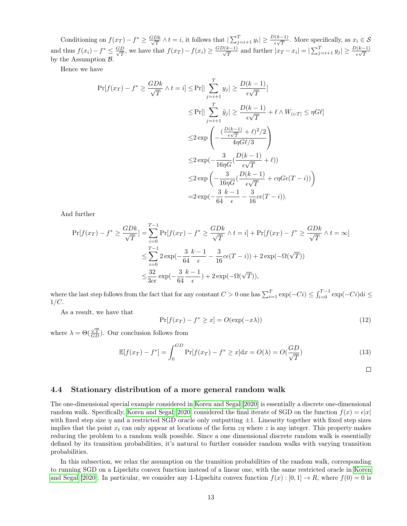Conditioning on  $f(x_T) - f^* \ge \frac{GDk}{\sqrt{T}} \wedge t = i$ , it follows that  $|\sum_{j=i+1}^T y_i| \ge \frac{D(k-1)}{\epsilon \sqrt{T}}$ . More specifically, as  $x_i \in S$ and thus  $f(x_i) - f^* \leq \frac{GD}{\sqrt{T}}$ , we have that  $f(x_T) - f(x_i) \geq \frac{GD(k-1)}{\sqrt{T}}$  and further  $|x_T - x_i| = |\sum_{j=i+1}^T y_j| \geq \frac{D(k-1)}{\epsilon \sqrt{T}}$ by the Assumption  $\beta$ .

Hence we have

$$
\Pr[f(x_T) - f^* \ge \frac{GDk}{\sqrt{T}} \land t = i] \le \Pr[|\sum_{j=i+1}^T y_j| \ge \frac{D(k-1)}{\epsilon \sqrt{T}}]
$$
  

$$
\le \Pr[|\sum_{j=i+1}^T \tilde{y}_j| \ge \frac{D(k-1)}{\epsilon \sqrt{T}} + \ell \land W_{(i:T]} \le \eta G \ell]
$$
  

$$
\le 2 \exp\left(-\frac{\frac{D(k-1)}{\epsilon \sqrt{T}} + \ell^2}{4\eta G \ell^2}\right)
$$
  

$$
\le 2 \exp(-\frac{3}{16\eta G}(\frac{D(k-1)}{\epsilon \sqrt{T}} + \ell))
$$
  

$$
\le 2 \exp\left(-\frac{3}{16\eta G}(\frac{D(k-1)}{\epsilon \sqrt{T}} + c\eta G\epsilon(T - i))\right)
$$
  

$$
= 2 \exp(-\frac{3}{64} \frac{k-1}{\epsilon} - \frac{3}{16}c\epsilon(T - i)).
$$

And further

$$
\Pr[f(x_T) - f^* \ge \frac{GDk}{\sqrt{T}}] = \sum_{i=0}^{T-1} \Pr[f(x_T) - f^* \ge \frac{GDk}{\sqrt{T}} \land t = i] + \Pr[f(x_T) - f^* \ge \frac{GDk}{\sqrt{T}} \land t = \infty]
$$
  

$$
\le \sum_{i=0}^{T-1} 2 \exp(-\frac{3}{64} \frac{k-1}{\epsilon} - \frac{3}{16} c\epsilon(T - i)) + 2 \exp(-\Omega(\sqrt{T}))
$$
  

$$
\le \frac{32}{3c\epsilon} \exp(-\frac{3}{64} \frac{k-1}{\epsilon}) + 2 \exp(-\Omega(\sqrt{T})),
$$

where the last step follows from the fact that for any constant  $C > 0$  one has  $\sum_{i=1}^{T} \exp(-Ci) \leq \int_{i=0}^{T-1} \exp(-Ci) \mathrm{d}i \leq$  $1/C$ .

As a result, we have that

$$
\Pr[f(x_T) - f^* \ge x] = O(\exp(-x\lambda))\tag{12}
$$

where  $\lambda = \Theta(\frac{\sqrt{T}}{GD})$ . Our conclusion follows from

$$
\mathbb{E}[f(x_T) - f^*] = \int_0^{GD} \Pr[f(x_T) - f^* \ge x] dx = O(\lambda) = O(\frac{GD}{\sqrt{T}})
$$
\n(13)

 $\Box$ 

### 4.4 Stationary distribution of a more general random walk

The one-dimensional special example considered in [Koren and Segal](#page-15-1) [\[2020\]](#page-15-1) is essentially a discrete one-dimensional random walk. Specifically, [Koren and Segal](#page-15-1) [\[2020\]](#page-15-1) considered the final iterate of SGD on the function  $f(x) = \epsilon |x|$ with fixed step sizes  $\eta$  and a restricted SGD oracle only outputting  $\pm 1$ . Linearity together with fixed step sizes implies that the point  $x_t$  can only appear at locations of the form  $z\eta$  where z is any integer. This property makes reducing the problem to a random walk possible. Since a one dimensional discrete random walk is essentially defined by its transition probabilities, it's natural to further consider random walks with varying transition probabilities.

In this subsection, we relax the assumption on the transition probabilities of the random walk, corresponding to running SGD on a Lipschitz convex function instead of a linear one, with the same restricted oracle in [Koren](#page-15-1) [and Segal](#page-15-1) [\[2020\]](#page-15-1). In particular, we consider any 1-Lipschitz convex function  $f(x): [0,1] \to R$ , where  $f(0) = 0$  is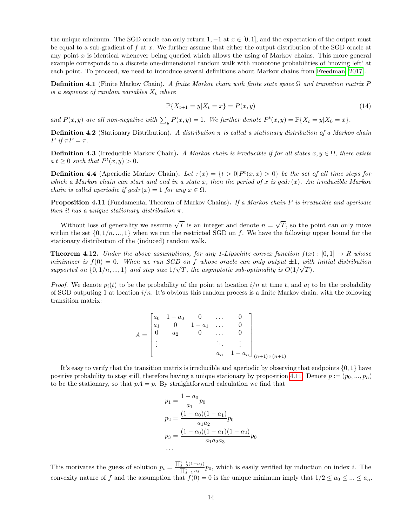the unique minimum. The SGD oracle can only return 1,  $-1$  at  $x \in [0, 1]$ , and the expectation of the output must be equal to a sub-gradient of  $f$  at  $x$ . We further assume that either the output distribution of the SGD oracle at any point x is identical whenever being queried which allows the using of Markov chains. This more general example corresponds to a discrete one-dimensional random walk with monotone probabilities of 'moving left' at each point. To proceed, we need to introduce several definitions about Markov chains from [Freedman](#page-15-17) [\[2017\]](#page-15-17).

**Definition 4.1** (Finite Markov Chain). A finite Markov chain with finite state space  $\Omega$  and transition matrix P is a sequence of random variables  $X_t$  where

$$
\mathbb{P}\{X_{t+1} = y | X_t = x\} = P(x, y) \tag{14}
$$

and  $P(x, y)$  are all non-negative with  $\sum_{y} P(x, y) = 1$ . We further denote  $P^{t}(x, y) = \mathbb{P}\{X_t = y | X_0 = x\}$ .

**Definition 4.2** (Stationary Distribution). A distribution  $\pi$  is called a stationary distribution of a Markov chain  $P$  if  $\pi P = \pi$ .

**Definition 4.3** (Irreducible Markov Chain). A Markov chain is irreducible if for all states  $x, y \in \Omega$ , there exists  $a t \geq 0$  such that  $P^t(x, y) > 0$ .

**Definition 4.4** (Aperiodic Markov Chain). Let  $\tau(x) = \{t > 0 | P^t(x, x) > 0\}$  be the set of all time steps for which a Markov chain can start and end in a state x, then the period of x is  $gcd\tau(x)$ . An irreducible Markov chain is called aperiodic if  $gcd \tau(x) = 1$  for any  $x \in \Omega$ .

<span id="page-13-0"></span>**Proposition 4.11** (Fundamental Theorem of Markov Chains). If a Markov chain P is irreducible and aperiodic then it has a unique stationary distribution  $\pi$ .

Without loss of generality we assume  $\sqrt{T}$  is an integer and denote  $n =$ √ T, so the point can only move within the set  $\{0, 1/n, ..., 1\}$  when we run the restricted SGD on f. We have the following upper bound for the stationary distribution of the (induced) random walk.

**Theorem 4.12.** Under the above assumptions, for any 1-Lipschitz convex function  $f(x): [0,1] \rightarrow R$  whose minimizer is  $f(0) = 0$ . When we run SGD on f whose oracle can only output  $\pm 1$ , with initial distribution supported on  $\{0, 1/n, ..., 1\}$  and step size  $1/\sqrt{T}$ , the asymptotic sub-optimality is  $O(1/\sqrt{T})$ .

*Proof.* We denote  $p_i(t)$  to be the probability of the point at location  $i/n$  at time t, and  $a_i$  to be the probability of SGD outputing 1 at location  $i/n$ . It's obvious this random process is a finite Markov chain, with the following transition matrix:

$$
A = \begin{bmatrix} a_0 & 1 - a_0 & 0 & \dots & 0 \\ a_1 & 0 & 1 - a_1 & \dots & 0 \\ 0 & a_2 & 0 & \dots & 0 \\ \vdots & \vdots & \ddots & \vdots & \vdots \\ a_n & 1 - a_n \end{bmatrix}_{(n+1)\times(n+1)}
$$

It's easy to verify that the transition matrix is irreducible and aperiodic by observing that endpoints {0, 1} have positive probability to stay still, therefore having a unique stationary by proposition [4.11.](#page-13-0) Denote  $p := (p_0, ..., p_n)$ to be the stationary, so that  $pA = p$ . By straightforward calculation we find that

$$
p_1 = \frac{1 - a_0}{a_1} p_0
$$
  
\n
$$
p_2 = \frac{(1 - a_0)(1 - a_1)}{a_1 a_2} p_0
$$
  
\n
$$
p_3 = \frac{(1 - a_0)(1 - a_1)(1 - a_2)}{a_1 a_2 a_3} p_0
$$
  
\n...

This motivates the guess of solution  $p_i = \frac{\prod_{j=0}^{i-1}(1-a_j)}{\prod_{j=0}^{i}a_j}$  $\frac{j=0}{\prod_{j=1}^{i} a_j} p_0$ , which is easily verified by induction on index *i*. The convexity nature of f and the assumption that  $f(0) = 0$  is the unique minimum imply that  $1/2 \le a_0 \le ... \le a_n$ .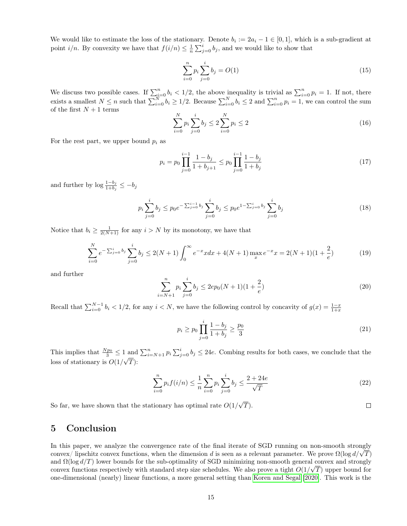We would like to estimate the loss of the stationary. Denote  $b_i := 2a_i - 1 \in [0,1]$ , which is a sub-gradient at point  $i/n$ . By convexity we have that  $f(i/n) \leq \frac{1}{n} \sum_{j=0}^{i} b_j$ , and we would like to show that

$$
\sum_{i=0}^{n} p_i \sum_{j=0}^{i} b_j = O(1) \tag{15}
$$

We discuss two possible cases. If  $\sum_{i=0}^{n} b_i < 1/2$ , the above inequality is trivial as  $\sum_{i=0}^{n} p_i = 1$ . If not, there exists a smallest  $N \le n$  such that  $\sum_{i=0}^{N} b_i \ge 1/2$ . Because  $\sum_{i=0}^{N} b_i \le 2$  and  $\sum_{i=0}^{n} p_i = 1$ , we can control the sum of the first  $N+1$  terms

$$
\sum_{i=0}^{N} p_i \sum_{j=0}^{i} b_j \le 2 \sum_{i=0}^{N} p_i \le 2
$$
\n(16)

For the rest part, we upper bound  $p_i$  as

$$
p_i = p_0 \prod_{j=0}^{i-1} \frac{1 - b_j}{1 + b_{j+1}} \le p_0 \prod_{j=0}^{i-1} \frac{1 - b_j}{1 + b_j}
$$
\n(17)

and further by  $\log \frac{1-b_j}{1+b_j} \leq -b_j$ 

$$
p_i \sum_{j=0}^i b_j \le p_0 e^{-\sum_{j=0}^{i-1} b_j} \sum_{j=0}^i b_j \le p_0 e^{1-\sum_{j=0}^i b_j} \sum_{j=0}^i b_j \tag{18}
$$

Notice that  $b_i \geq \frac{1}{2(N+1)}$  for any  $i > N$  by its monotony, we have that

$$
\sum_{i=0}^{N} e^{-\sum_{j=0}^{i} b_j} \sum_{j=0}^{i} b_j \le 2(N+1) \int_0^{\infty} e^{-x} x dx + 4(N+1) \max_x e^{-x} x = 2(N+1)(1+\frac{2}{e})
$$
(19)

and further

$$
\sum_{i=N+1}^{n} p_i \sum_{j=0}^{i} b_j \le 2ep_0(N+1)(1+\frac{2}{e})
$$
\n(20)

Recall that  $\sum_{i=0}^{N-1} b_i < 1/2$ , for any  $i < N$ , we have the following control by concavity of  $g(x) = \frac{1-x}{1+x}$ 

$$
p_i \ge p_0 \prod_{j=0}^i \frac{1 - b_j}{1 + b_j} \ge \frac{p_0}{3} \tag{21}
$$

This implies that  $\frac{Np_0}{3} \leq 1$  and  $\sum_{i=N+1}^n p_i \sum_{j=0}^i b_j \leq 24e$ . Combing results for both cases, we conclude that the loss of stationary is  $O(1/\sqrt{T})$ :

$$
\sum_{i=0}^{n} p_i f(i/n) \le \frac{1}{n} \sum_{i=0}^{n} p_i \sum_{j=0}^{i} b_j \le \frac{2 + 24e}{\sqrt{T}}
$$
\n(22)

So far, we have shown that the stationary has optimal rate  $O(1)$ √  $T).$ 

## 5 Conclusion

In this paper, we analyze the convergence rate of the final iterate of SGD running on non-smooth strongly In this paper, we analyze the convergence rate of the final iterate of SGD running on non-smooth strongly<br>convex/ lipschitz convex functions, when the dimension d is seen as a relevant parameter. We prove  $\Omega(\log d/\sqrt{T})$ and  $\Omega(\log d/T)$  lower bounds for the sub-optimality of SGD minimizing non-smooth general convex and strongly convex functions respectively with standard step size schedules. We also prove a tight  $O(1/\sqrt{T})$  upper bound for one-dimensional (nearly) linear functions, a more general setting than [Koren and Segal](#page-15-1) [\[2020\]](#page-15-1). This work is the

 $\Box$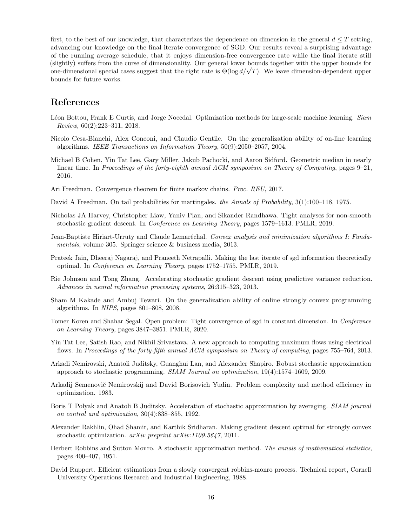first, to the best of our knowledge, that characterizes the dependence on dimension in the general  $d \leq T$  setting, advancing our knowledge on the final iterate convergence of SGD. Our results reveal a surprising advantage of the running average schedule, that it enjoys dimension-free convergence rate while the final iterate still (slightly) suffers from the curse of dimensionality. Our general lower bounds together with the upper bounds for (sugntly) suffers from the curse of dimensionality. Our general lower bounds together with the upper bounds for<br>one-dimensional special cases suggest that the right rate is  $\Theta(\log d/\sqrt{T})$ . We leave dimension-dependent upper bounds for future works.

## References

- <span id="page-15-7"></span>Léon Bottou, Frank E Curtis, and Jorge Nocedal. Optimization methods for large-scale machine learning. Siam Review, 60(2):223–311, 2018.
- <span id="page-15-12"></span>Nicolo Cesa-Bianchi, Alex Conconi, and Claudio Gentile. On the generalization ability of on-line learning algorithms. IEEE Transactions on Information Theory, 50(9):2050–2057, 2004.
- <span id="page-15-4"></span>Michael B Cohen, Yin Tat Lee, Gary Miller, Jakub Pachocki, and Aaron Sidford. Geometric median in nearly linear time. In Proceedings of the forty-eighth annual ACM symposium on Theory of Computing, pages 9–21, 2016.
- <span id="page-15-17"></span>Ari Freedman. Convergence theorem for finite markov chains. Proc. REU, 2017.
- <span id="page-15-16"></span>David A Freedman. On tail probabilities for martingales. the Annals of Probability, 3(1):100–118, 1975.
- <span id="page-15-0"></span>Nicholas JA Harvey, Christopher Liaw, Yaniv Plan, and Sikander Randhawa. Tight analyses for non-smooth stochastic gradient descent. In Conference on Learning Theory, pages 1579–1613. PMLR, 2019.
- <span id="page-15-15"></span>Jean-Baptiste Hiriart-Urruty and Claude Lemaréchal. Convex analysis and minimization algorithms I: Fundamentals, volume 305. Springer science & business media, 2013.
- <span id="page-15-6"></span>Prateek Jain, Dheeraj Nagaraj, and Praneeth Netrapalli. Making the last iterate of sgd information theoretically optimal. In Conference on Learning Theory, pages 1752–1755. PMLR, 2019.
- <span id="page-15-8"></span>Rie Johnson and Tong Zhang. Accelerating stochastic gradient descent using predictive variance reduction. Advances in neural information processing systems, 26:315–323, 2013.
- <span id="page-15-11"></span>Sham M Kakade and Ambuj Tewari. On the generalization ability of online strongly convex programming algorithms. In NIPS, pages 801–808, 2008.
- <span id="page-15-1"></span>Tomer Koren and Shahar Segal. Open problem: Tight convergence of sgd in constant dimension. In Conference on Learning Theory, pages 3847–3851. PMLR, 2020.
- <span id="page-15-5"></span>Yin Tat Lee, Satish Rao, and Nikhil Srivastava. A new approach to computing maximum flows using electrical flows. In Proceedings of the forty-fifth annual ACM symposium on Theory of computing, pages 755–764, 2013.
- <span id="page-15-3"></span>Arkadi Nemirovski, Anatoli Juditsky, Guanghui Lan, and Alexander Shapiro. Robust stochastic approximation approach to stochastic programming. SIAM Journal on optimization, 19(4):1574–1609, 2009.
- <span id="page-15-10"></span>Arkadij Semenovič Nemirovskij and David Borisovich Yudin. Problem complexity and method efficiency in optimization. 1983.
- <span id="page-15-9"></span>Boris T Polyak and Anatoli B Juditsky. Acceleration of stochastic approximation by averaging. SIAM journal on control and optimization, 30(4):838–855, 1992.
- <span id="page-15-13"></span>Alexander Rakhlin, Ohad Shamir, and Karthik Sridharan. Making gradient descent optimal for strongly convex stochastic optimization. arXiv preprint arXiv:1109.5647, 2011.
- <span id="page-15-2"></span>Herbert Robbins and Sutton Monro. A stochastic approximation method. The annals of mathematical statistics, pages 400–407, 1951.
- <span id="page-15-14"></span>David Ruppert. Efficient estimations from a slowly convergent robbins-monro process. Technical report, Cornell University Operations Research and Industrial Engineering, 1988.